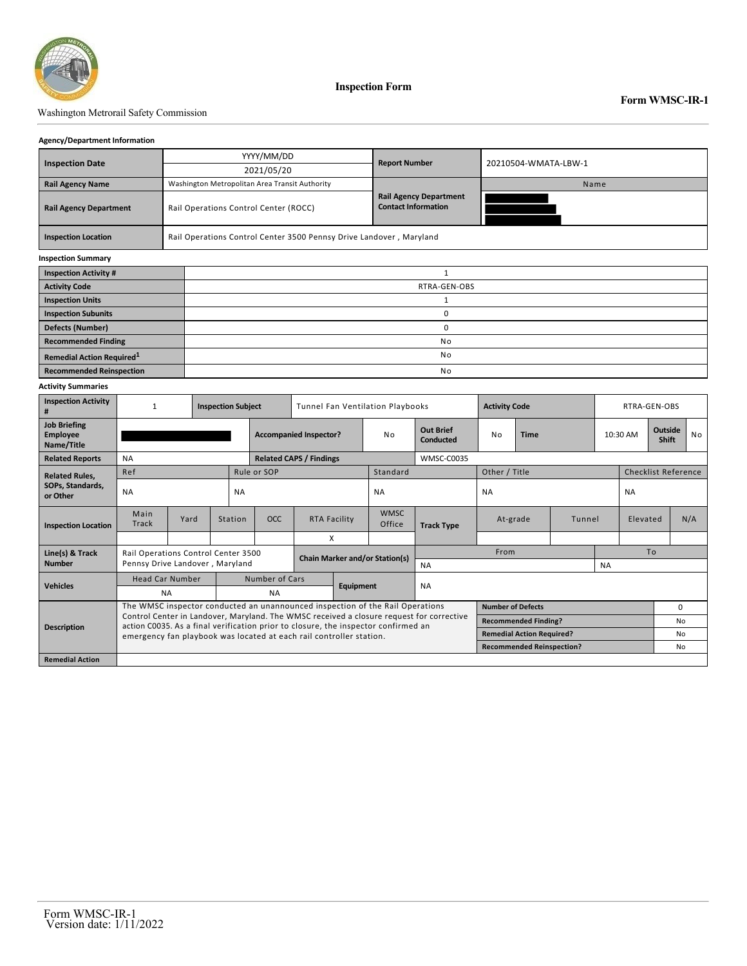

### Washington Metrorail Safety Commission

### **Agency/Department Information**

|                                       |  | YYYY/MM/DD                                                          | <b>Report Number</b>                                        | 20210504-WMATA-LBW-1 |  |  |  |  |  |  |
|---------------------------------------|--|---------------------------------------------------------------------|-------------------------------------------------------------|----------------------|--|--|--|--|--|--|
| <b>Inspection Date</b>                |  | 2021/05/20                                                          |                                                             |                      |  |  |  |  |  |  |
| <b>Rail Agency Name</b>               |  | Washington Metropolitan Area Transit Authority                      |                                                             | Name                 |  |  |  |  |  |  |
| <b>Rail Agency Department</b>         |  | Rail Operations Control Center (ROCC)                               | <b>Rail Agency Department</b><br><b>Contact Information</b> |                      |  |  |  |  |  |  |
| <b>Inspection Location</b>            |  | Rail Operations Control Center 3500 Pennsy Drive Landover, Maryland |                                                             |                      |  |  |  |  |  |  |
| <b>Inspection Summary</b>             |  |                                                                     |                                                             |                      |  |  |  |  |  |  |
| <b>Inspection Activity #</b>          |  | 1                                                                   |                                                             |                      |  |  |  |  |  |  |
| <b>Activity Code</b>                  |  | RTRA-GEN-OBS                                                        |                                                             |                      |  |  |  |  |  |  |
| <b>Inspection Units</b>               |  |                                                                     |                                                             |                      |  |  |  |  |  |  |
| <b>Inspection Subunits</b>            |  | 0                                                                   |                                                             |                      |  |  |  |  |  |  |
| <b>Defects (Number)</b>               |  | 0                                                                   |                                                             |                      |  |  |  |  |  |  |
| <b>Recommended Finding</b>            |  | No                                                                  |                                                             |                      |  |  |  |  |  |  |
| Remedial Action Required <sup>1</sup> |  | No                                                                  |                                                             |                      |  |  |  |  |  |  |
| <b>Recommended Reinspection</b>       |  | No                                                                  |                                                             |                      |  |  |  |  |  |  |

#### **Activity Summaries**

| <b>Inspection Activity</b><br>#                      | <b>Inspection Subject</b>                                                                                                                                 |      |                             | Tunnel Fan Ventilation Playbooks |   |                        |                                  | <b>Activity Code</b>          | RTRA-GEN-OBS  |                                  |        |          |                            |                  |     |  |
|------------------------------------------------------|-----------------------------------------------------------------------------------------------------------------------------------------------------------|------|-----------------------------|----------------------------------|---|------------------------|----------------------------------|-------------------------------|---------------|----------------------------------|--------|----------|----------------------------|------------------|-----|--|
| <b>Job Briefing</b><br><b>Employee</b><br>Name/Title |                                                                                                                                                           |      |                             | <b>Accompanied Inspector?</b>    |   |                        | No                               | <b>Out Brief</b><br>Conducted | No            | <b>Time</b>                      |        | 10:30 AM |                            | Outside<br>Shift | No  |  |
| <b>Related Reports</b>                               | <b>NA</b>                                                                                                                                                 |      |                             | <b>Related CAPS / Findings</b>   |   |                        | WMSC-C0035                       |                               |               |                                  |        |          |                            |                  |     |  |
| <b>Related Rules,</b>                                | Ref                                                                                                                                                       |      |                             | Rule or SOP                      |   |                        | Standard                         |                               | Other / Title |                                  |        |          | <b>Checklist Reference</b> |                  |     |  |
| SOPs, Standards,<br>or Other                         | <b>NA</b>                                                                                                                                                 |      |                             | <b>NA</b>                        |   |                        | <b>NA</b>                        |                               | <b>NA</b>     |                                  |        |          | <b>NA</b>                  |                  |     |  |
| <b>Inspection Location</b>                           | Main<br><b>Track</b>                                                                                                                                      | Yard | Station                     | <b>OCC</b>                       |   | <b>RTA Facility</b>    | <b>WMSC</b><br>Office            | <b>Track Type</b>             | At-grade      |                                  | Tunnel | Elevated |                            |                  | N/A |  |
|                                                      |                                                                                                                                                           |      |                             |                                  | X |                        |                                  |                               |               |                                  |        |          |                            |                  |     |  |
| Line(s) & Track                                      | Rail Operations Control Center 3500<br><b>Chain Marker and/or Station(s)</b>                                                                              |      |                             |                                  |   |                        | From                             |                               |               |                                  |        |          | To                         |                  |     |  |
| <b>Number</b>                                        | Pennsy Drive Landover, Maryland                                                                                                                           |      |                             |                                  |   |                        |                                  | <b>NA</b>                     | <b>NA</b>     |                                  |        |          |                            |                  |     |  |
| <b>Vehicles</b>                                      | <b>Head Car Number</b>                                                                                                                                    |      |                             | Number of Cars                   |   | Equipment<br><b>NA</b> |                                  |                               |               |                                  |        |          |                            |                  |     |  |
|                                                      | <b>NA</b>                                                                                                                                                 |      | <b>NA</b>                   |                                  |   |                        |                                  |                               |               |                                  |        |          |                            |                  |     |  |
| <b>Description</b>                                   | The WMSC inspector conducted an unannounced inspection of the Rail Operations                                                                             |      | <b>Number of Defects</b>    |                                  |   |                        |                                  |                               | 0             |                                  |        |          |                            |                  |     |  |
|                                                      | Control Center in Landover, Maryland. The WMSC received a closure request for corrective                                                                  |      | <b>Recommended Finding?</b> |                                  |   |                        |                                  |                               | No            |                                  |        |          |                            |                  |     |  |
|                                                      | action C0035. As a final verification prior to closure, the inspector confirmed an<br>emergency fan playbook was located at each rail controller station. |      |                             |                                  |   |                        |                                  |                               |               | <b>Remedial Action Required?</b> |        |          |                            | No               |     |  |
|                                                      |                                                                                                                                                           |      |                             |                                  |   |                        | <b>Recommended Reinspection?</b> |                               |               |                                  |        | No       |                            |                  |     |  |
| <b>Remedial Action</b>                               |                                                                                                                                                           |      |                             |                                  |   |                        |                                  |                               |               |                                  |        |          |                            |                  |     |  |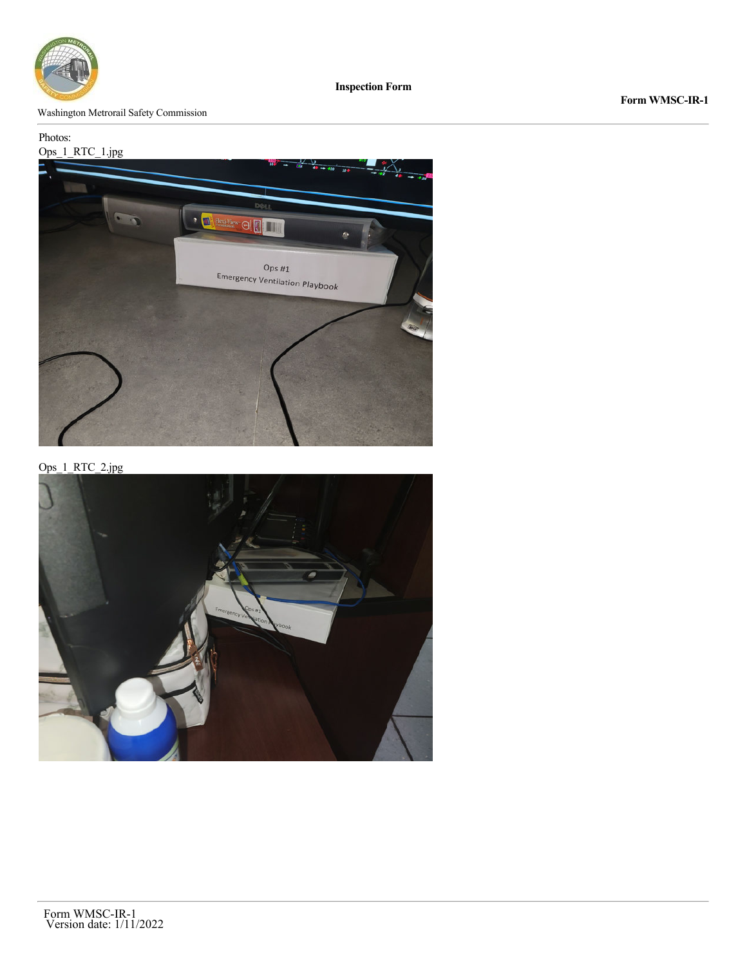

Washington Metrorail Safety Commission

# Photos:



Ops\_1\_RTC\_2.jpg

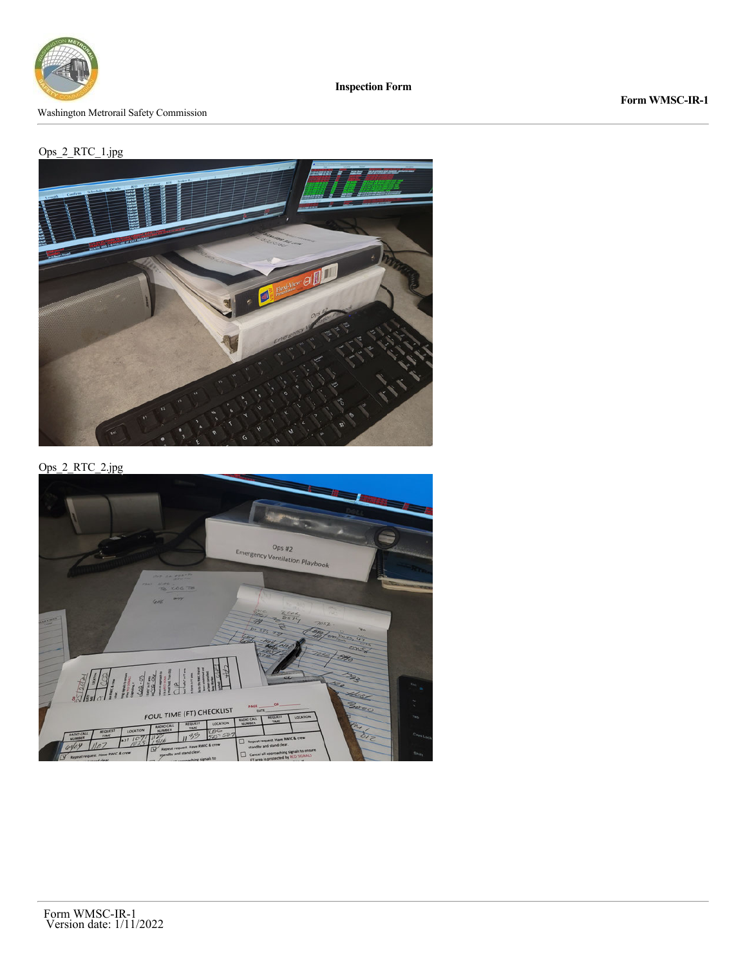

Washington Metrorail Safety Commission

**Form WMSC-IR-1**

## Ops\_2\_RTC\_1.jpg



Ops\_2\_RTC\_2.jpg